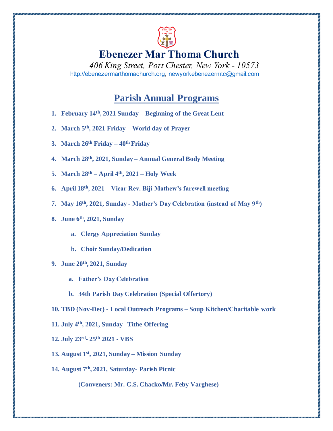

## **Ebenezer Mar Thoma Church**

*406 King Street, Port Chester, New York - 10573* http://ebenezermarthomachurch.org, newyorkebenezermtc@gmail.com

## **Parish Annual Programs**

- **1. February 14th, 2021 Sunday – Beginning of the Great Lent**
- **2. March 5th, 2021 Friday – World day of Prayer**
- **3. March 26th Friday – 40th Friday**
- **4. March 28th, 2021, Sunday – Annual General Body Meeting**
- **5. March 28th – April 4th, 2021 – Holy Week**
- **6. April 18th, 2021 – Vicar Rev. Biji Mathew's farewell meeting**
- **7. May 16th, 2021, Sunday - Mother's Day Celebration (instead of May 9th)**
- **8. June 6th, 2021, Sunday**
	- **a. Clergy Appreciation Sunday**
	- **b. Choir Sunday/Dedication**
- **9. June 20th, 2021, Sunday** 
	- **a. Father's Day Celebration**
	- **b. 34th Parish Day Celebration (Special Offertory)**
- **10. TBD (Nov-Dec) - Local Outreach Programs – Soup Kitchen/Charitable work**
- **11. July 4th, 2021, Sunday –Tithe Offering**
- **12. July 23rd - 25th 2021 - VBS**
- **13. August 1st, 2021, Sunday – Mission Sunday**
- **14. August 7th, 2021, Saturday- Parish Picnic**

**(Conveners: Mr. C.S. Chacko/Mr. Feby Varghese)**